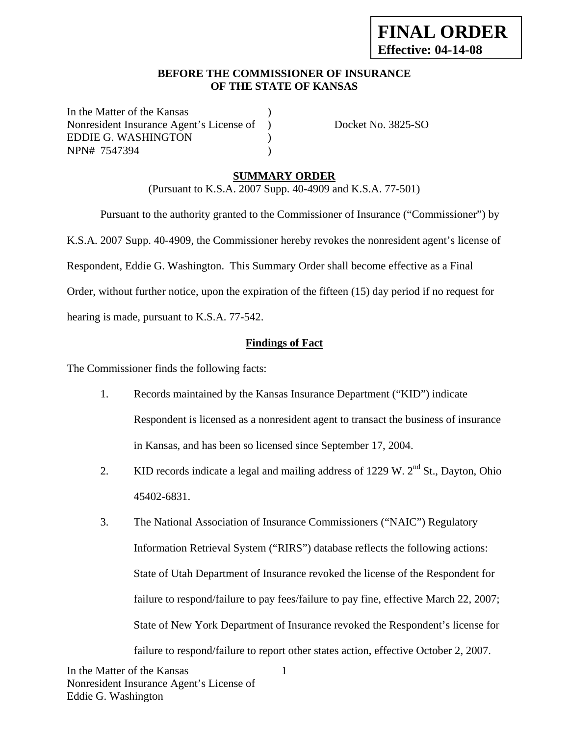#### **BEFORE THE COMMISSIONER OF INSURANCE OF THE STATE OF KANSAS**

In the Matter of the Kansas Nonresident Insurance Agent's License of ) Docket No. 3825-SO EDDIE G. WASHINGTON (1) NPN# 7547394 )

### **SUMMARY ORDER**

(Pursuant to K.S.A. 2007 Supp. 40-4909 and K.S.A. 77-501)

 Pursuant to the authority granted to the Commissioner of Insurance ("Commissioner") by K.S.A. 2007 Supp. 40-4909, the Commissioner hereby revokes the nonresident agent's license of Respondent, Eddie G. Washington. This Summary Order shall become effective as a Final Order, without further notice, upon the expiration of the fifteen (15) day period if no request for hearing is made, pursuant to K.S.A. 77-542.

#### **Findings of Fact**

The Commissioner finds the following facts:

- 1. Records maintained by the Kansas Insurance Department ("KID") indicate Respondent is licensed as a nonresident agent to transact the business of insurance in Kansas, and has been so licensed since September 17, 2004.
- 2. KID records indicate a legal and mailing address of 1229 W.  $2<sup>nd</sup>$  St., Dayton, Ohio 45402-6831.
- 3. The National Association of Insurance Commissioners ("NAIC") Regulatory Information Retrieval System ("RIRS") database reflects the following actions: State of Utah Department of Insurance revoked the license of the Respondent for failure to respond/failure to pay fees/failure to pay fine, effective March 22, 2007; State of New York Department of Insurance revoked the Respondent's license for failure to respond/failure to report other states action, effective October 2, 2007.

1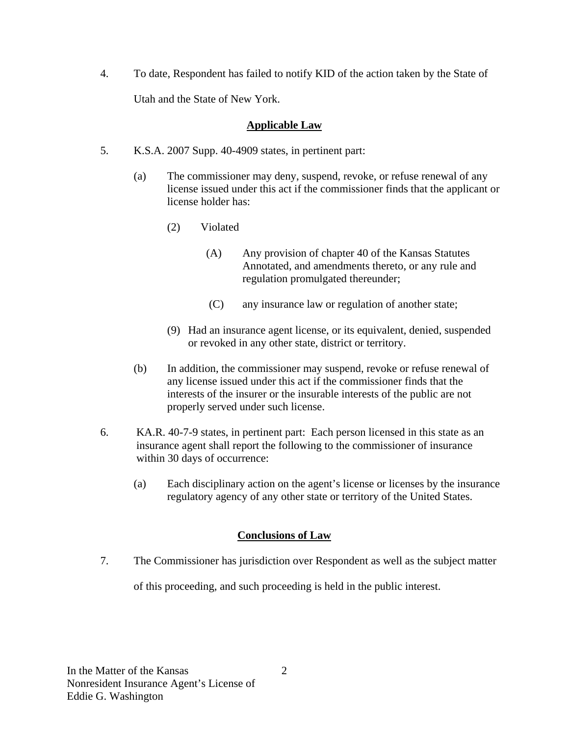4. To date, Respondent has failed to notify KID of the action taken by the State of Utah and the State of New York.

### **Applicable Law**

- 5. K.S.A. 2007 Supp. 40-4909 states, in pertinent part:
	- (a) The commissioner may deny, suspend, revoke, or refuse renewal of any license issued under this act if the commissioner finds that the applicant or license holder has:
		- (2) Violated
			- (A) Any provision of chapter 40 of the Kansas Statutes Annotated, and amendments thereto, or any rule and regulation promulgated thereunder;
			- (C) any insurance law or regulation of another state;
		- (9) Had an insurance agent license, or its equivalent, denied, suspended or revoked in any other state, district or territory.
	- (b) In addition, the commissioner may suspend, revoke or refuse renewal of any license issued under this act if the commissioner finds that the interests of the insurer or the insurable interests of the public are not properly served under such license.
- 6. KA.R. 40-7-9 states, in pertinent part: Each person licensed in this state as an insurance agent shall report the following to the commissioner of insurance within 30 days of occurrence:
	- (a) Each disciplinary action on the agent's license or licenses by the insurance regulatory agency of any other state or territory of the United States.

# **Conclusions of Law**

7. The Commissioner has jurisdiction over Respondent as well as the subject matter

of this proceeding, and such proceeding is held in the public interest.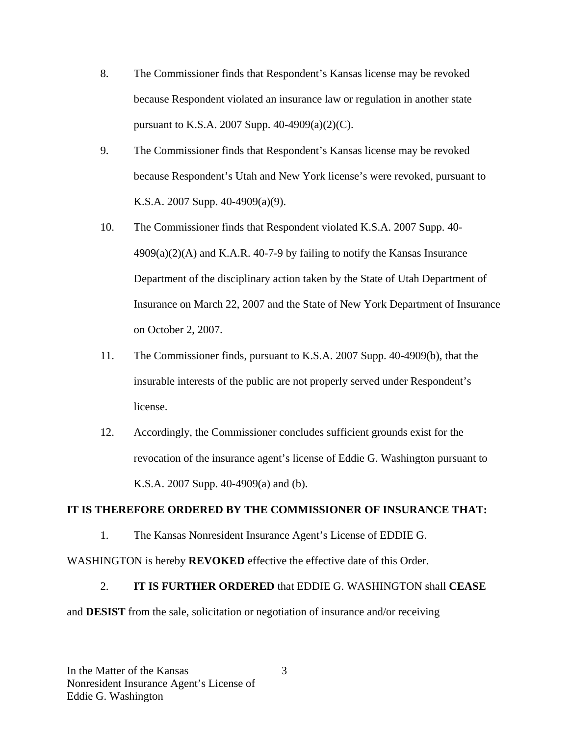- 8. The Commissioner finds that Respondent's Kansas license may be revoked because Respondent violated an insurance law or regulation in another state pursuant to K.S.A. 2007 Supp. 40-4909(a)(2)(C).
- 9. The Commissioner finds that Respondent's Kansas license may be revoked because Respondent's Utah and New York license's were revoked, pursuant to K.S.A. 2007 Supp. 40-4909(a)(9).
- 10. The Commissioner finds that Respondent violated K.S.A. 2007 Supp. 40-  $4909(a)(2)$ (A) and K.A.R. 40-7-9 by failing to notify the Kansas Insurance Department of the disciplinary action taken by the State of Utah Department of Insurance on March 22, 2007 and the State of New York Department of Insurance on October 2, 2007.
- 11. The Commissioner finds, pursuant to K.S.A. 2007 Supp. 40-4909(b), that the insurable interests of the public are not properly served under Respondent's license.
- 12. Accordingly, the Commissioner concludes sufficient grounds exist for the revocation of the insurance agent's license of Eddie G. Washington pursuant to K.S.A. 2007 Supp. 40-4909(a) and (b).

#### **IT IS THEREFORE ORDERED BY THE COMMISSIONER OF INSURANCE THAT:**

1. The Kansas Nonresident Insurance Agent's License of EDDIE G.

WASHINGTON is hereby **REVOKED** effective the effective date of this Order.

# 2. **IT IS FURTHER ORDERED** that EDDIE G. WASHINGTON shall **CEASE**

and **DESIST** from the sale, solicitation or negotiation of insurance and/or receiving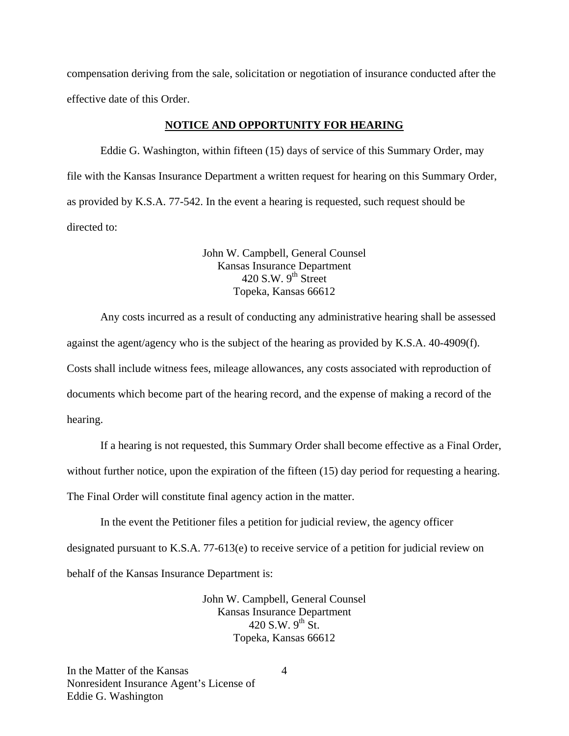compensation deriving from the sale, solicitation or negotiation of insurance conducted after the effective date of this Order.

#### **NOTICE AND OPPORTUNITY FOR HEARING**

Eddie G. Washington, within fifteen (15) days of service of this Summary Order, may file with the Kansas Insurance Department a written request for hearing on this Summary Order, as provided by K.S.A. 77-542. In the event a hearing is requested, such request should be directed to:

> John W. Campbell, General Counsel Kansas Insurance Department  $420$  S.W. 9<sup>th</sup> Street Topeka, Kansas 66612

Any costs incurred as a result of conducting any administrative hearing shall be assessed against the agent/agency who is the subject of the hearing as provided by K.S.A. 40-4909(f). Costs shall include witness fees, mileage allowances, any costs associated with reproduction of documents which become part of the hearing record, and the expense of making a record of the hearing.

If a hearing is not requested, this Summary Order shall become effective as a Final Order,

without further notice, upon the expiration of the fifteen (15) day period for requesting a hearing.

The Final Order will constitute final agency action in the matter.

In the event the Petitioner files a petition for judicial review, the agency officer designated pursuant to K.S.A. 77-613(e) to receive service of a petition for judicial review on behalf of the Kansas Insurance Department is:

> John W. Campbell, General Counsel Kansas Insurance Department 420 S.W.  $9^{th}$  St. Topeka, Kansas 66612

In the Matter of the Kansas Nonresident Insurance Agent's License of Eddie G. Washington

4